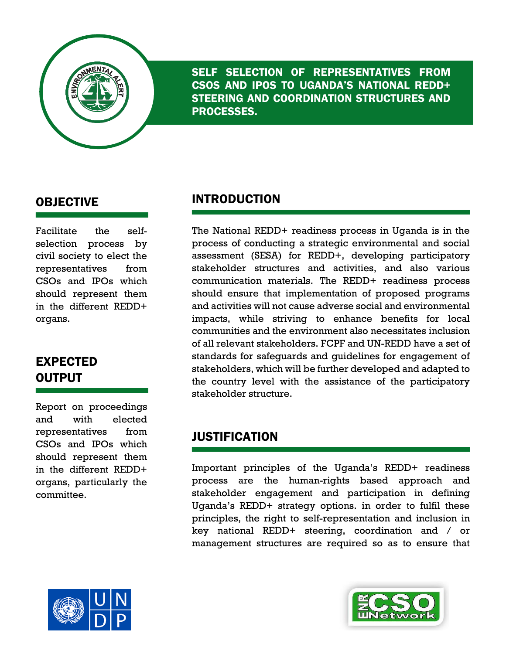

SELF SELECTION OF REPRESENTATIVES FROM CSOS AND IPOS TO UGANDA'S NATIONAL REDD+ STEERING AND COORDINATION STRUCTURES AND PROCESSES.

#### OBJECTIVE

Facilitate the selfselection process by civil society to elect the representatives from CSOs and IPOs which should represent them in the different REDD+ organs.

## EXPECTED **OUTPUT**

Report on proceedings and with elected representatives from CSOs and IPOs which should represent them in the different REDD+ organs, particularly the committee.

#### INTRODUCTION

The National REDD+ readiness process in Uganda is in the process of conducting a strategic environmental and social assessment (SESA) for REDD+, developing participatory stakeholder structures and activities, and also various communication materials. The REDD+ readiness process should ensure that implementation of proposed programs and activities will not cause adverse social and environmental impacts, while striving to enhance benefits for local communities and the environment also necessitates inclusion of all relevant stakeholders. FCPF and UN-REDD have a set of standards for safeguards and guidelines for engagement of stakeholders, which will be further developed and adapted to the country level with the assistance of the participatory stakeholder structure.

#### JUSTIFICATION

Important principles of the Uganda's REDD+ readiness process are the human-rights based approach and stakeholder engagement and participation in defining Uganda's REDD+ strategy options. in order to fulfil these principles, the right to self-representation and inclusion in key national REDD+ steering, coordination and / or management structures are required so as to ensure that



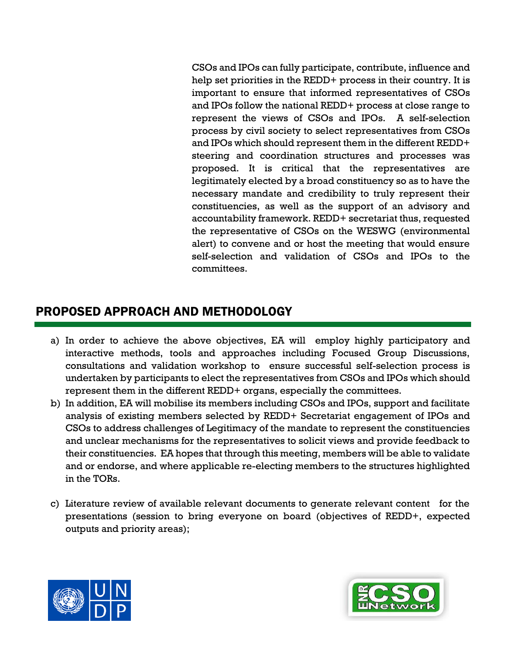CSOs and IPOs can fully participate, contribute, influence and help set priorities in the REDD+ process in their country. It is important to ensure that informed representatives of CSOs and IPOs follow the national REDD+ process at close range to represent the views of CSOs and IPOs. A self-selection process by civil society to select representatives from CSOs and IPOs which should represent them in the different REDD+ steering and coordination structures and processes was proposed. It is critical that the representatives are legitimately elected by a broad constituency so as to have the necessary mandate and credibility to truly represent their constituencies, as well as the support of an advisory and accountability framework. REDD+ secretariat thus, requested the representative of CSOs on the WESWG (environmental alert) to convene and or host the meeting that would ensure self-selection and validation of CSOs and IPOs to the committees.

### PROPOSED APPROACH AND METHODOLOGY

- a) In order to achieve the above objectives, EA will employ highly participatory and interactive methods, tools and approaches including Focused Group Discussions, consultations and validation workshop to ensure successful self-selection process is undertaken by participants to elect the representatives from CSOs and IPOs which should represent them in the different REDD+ organs, especially the committees.
- b) In addition, EA will mobilise its members including CSOs and IPOs, support and facilitate analysis of existing members selected by REDD+ Secretariat engagement of IPOs and CSOs to address challenges of Legitimacy of the mandate to represent the constituencies and unclear mechanisms for the representatives to solicit views and provide feedback to their constituencies. EA hopes that through this meeting, members will be able to validate and or endorse, and where applicable re-electing members to the structures highlighted in the TORs.
- c) Literature review of available relevant documents to generate relevant content for the presentations (session to bring everyone on board (objectives of REDD+, expected outputs and priority areas);